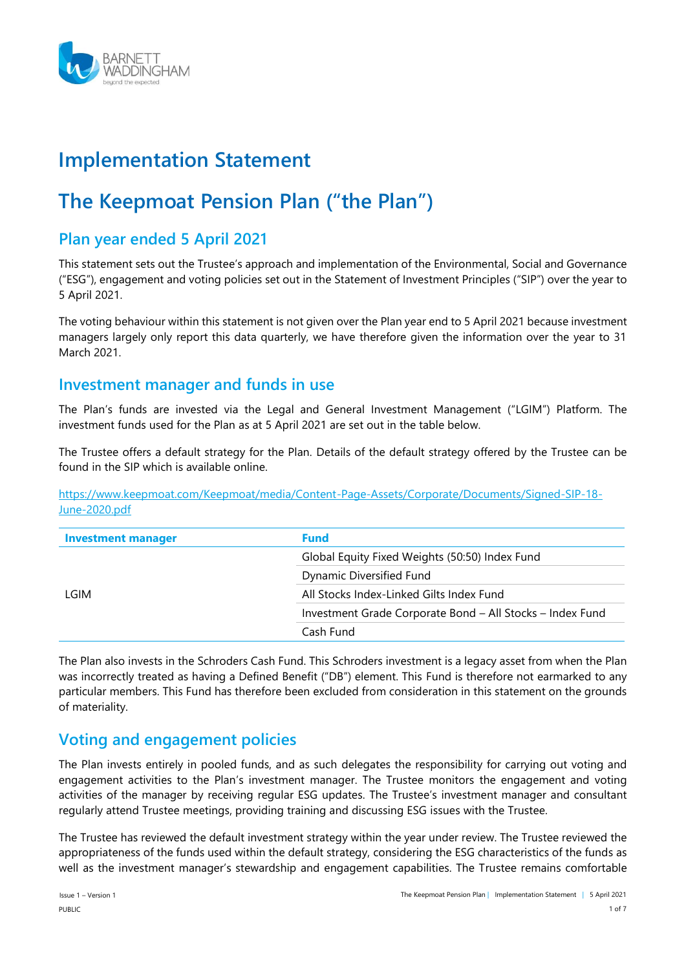

# **Implementation Statement**

# **The Keepmoat Pension Plan ("the Plan")**

## **Plan year ended 5 April 2021**

This statement sets out the Trustee's approach and implementation of the Environmental, Social and Governance ("ESG"), engagement and voting policies set out in the Statement of Investment Principles ("SIP") over the year to 5 April 2021.

The voting behaviour within this statement is not given over the Plan year end to 5 April 2021 because investment managers largely only report this data quarterly, we have therefore given the information over the year to 31 March 2021.

## **Investment manager and funds in use**

The Plan's funds are invested via the Legal and General Investment Management ("LGIM") Platform. The investment funds used for the Plan as at 5 April 2021 are set out in the table below.

The Trustee offers a default strategy for the Plan. Details of the default strategy offered by the Trustee can be found in the SIP which is available online.

[https://www.keepmoat.com/Keepmoat/media/Content-Page-Assets/Corporate/Documents/Signed-SIP-18-](https://www.keepmoat.com/Keepmoat/media/Content-Page-Assets/Corporate/Documents/Signed-SIP-18-June-2020.pdf) [June-2020.pdf](https://www.keepmoat.com/Keepmoat/media/Content-Page-Assets/Corporate/Documents/Signed-SIP-18-June-2020.pdf)

| <b>Investment manager</b> | <b>Fund</b>                                               |  |
|---------------------------|-----------------------------------------------------------|--|
|                           | Global Equity Fixed Weights (50:50) Index Fund            |  |
|                           | Dynamic Diversified Fund                                  |  |
| LGIM                      | All Stocks Index-Linked Gilts Index Fund                  |  |
|                           | Investment Grade Corporate Bond - All Stocks - Index Fund |  |
|                           | Cash Fund                                                 |  |

The Plan also invests in the Schroders Cash Fund. This Schroders investment is a legacy asset from when the Plan was incorrectly treated as having a Defined Benefit ("DB") element. This Fund is therefore not earmarked to any particular members. This Fund has therefore been excluded from consideration in this statement on the grounds of materiality.

## **Voting and engagement policies**

The Plan invests entirely in pooled funds, and as such delegates the responsibility for carrying out voting and engagement activities to the Plan's investment manager. The Trustee monitors the engagement and voting activities of the manager by receiving regular ESG updates. The Trustee's investment manager and consultant regularly attend Trustee meetings, providing training and discussing ESG issues with the Trustee.

The Trustee has reviewed the default investment strategy within the year under review. The Trustee reviewed the appropriateness of the funds used within the default strategy, considering the ESG characteristics of the funds as well as the investment manager's stewardship and engagement capabilities. The Trustee remains comfortable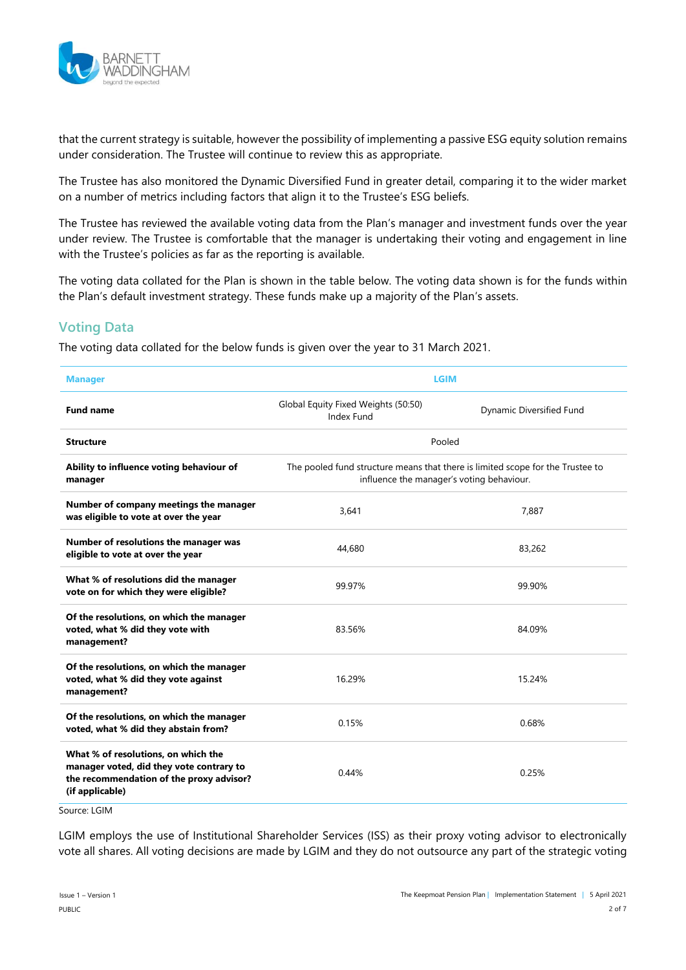

that the current strategy is suitable, however the possibility of implementing a passive ESG equity solution remains under consideration. The Trustee will continue to review this as appropriate.

The Trustee has also monitored the Dynamic Diversified Fund in greater detail, comparing it to the wider market on a number of metrics including factors that align it to the Trustee's ESG beliefs.

The Trustee has reviewed the available voting data from the Plan's manager and investment funds over the year under review. The Trustee is comfortable that the manager is undertaking their voting and engagement in line with the Trustee's policies as far as the reporting is available.

The voting data collated for the Plan is shown in the table below. The voting data shown is for the funds within the Plan's default investment strategy. These funds make up a majority of the Plan's assets.

## **Voting Data**

The voting data collated for the below funds is given over the year to 31 March 2021.

| <b>Manager</b>                                                                                                                                 | <b>LGIM</b>                                                                                                                 |                          |  |
|------------------------------------------------------------------------------------------------------------------------------------------------|-----------------------------------------------------------------------------------------------------------------------------|--------------------------|--|
| <b>Fund name</b>                                                                                                                               | Global Equity Fixed Weights (50:50)<br>Index Fund                                                                           | Dynamic Diversified Fund |  |
| <b>Structure</b>                                                                                                                               | Pooled                                                                                                                      |                          |  |
| Ability to influence voting behaviour of<br>manager                                                                                            | The pooled fund structure means that there is limited scope for the Trustee to<br>influence the manager's voting behaviour. |                          |  |
| Number of company meetings the manager<br>was eligible to vote at over the year                                                                | 3.641<br>7.887                                                                                                              |                          |  |
| Number of resolutions the manager was<br>eligible to vote at over the year                                                                     | 44,680                                                                                                                      | 83,262                   |  |
| What % of resolutions did the manager<br>vote on for which they were eligible?                                                                 | 99.97%                                                                                                                      | 99.90%                   |  |
| Of the resolutions, on which the manager<br>voted, what % did they vote with<br>management?                                                    | 83.56%                                                                                                                      | 84.09%                   |  |
| Of the resolutions, on which the manager<br>voted, what % did they vote against<br>management?                                                 | 16.29%                                                                                                                      | 15.24%                   |  |
| Of the resolutions, on which the manager<br>voted, what % did they abstain from?                                                               | 0.15%                                                                                                                       | 0.68%                    |  |
| What % of resolutions, on which the<br>manager voted, did they vote contrary to<br>the recommendation of the proxy advisor?<br>(if applicable) | 0.44%                                                                                                                       | 0.25%                    |  |

Source: LGIM

LGIM employs the use of Institutional Shareholder Services (ISS) as their proxy voting advisor to electronically vote all shares. All voting decisions are made by LGIM and they do not outsource any part of the strategic voting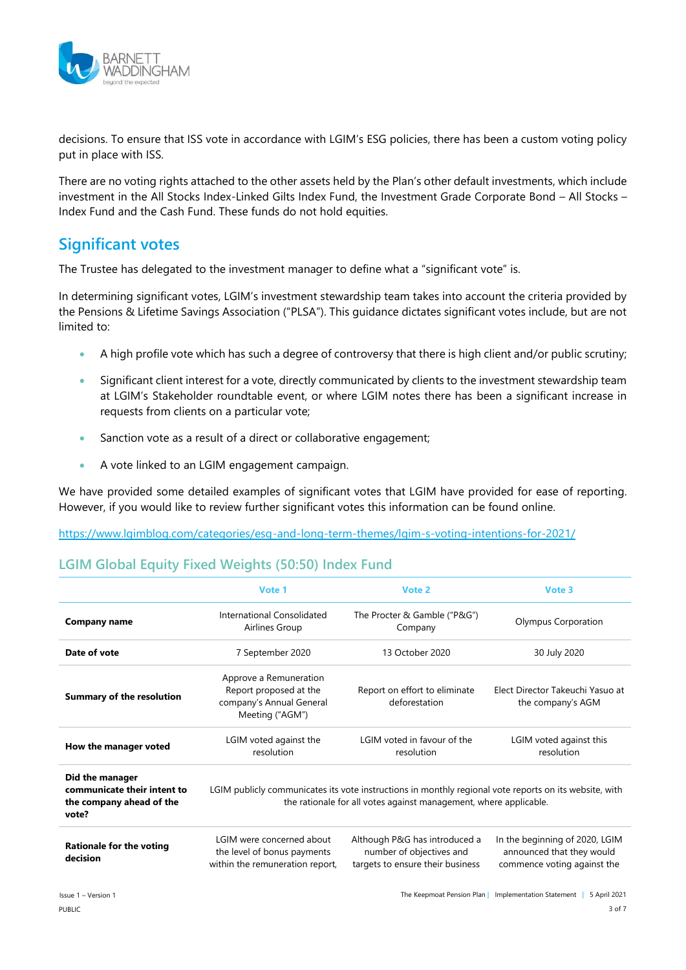

decisions. To ensure that ISS vote in accordance with LGIM's ESG policies, there has been a custom voting policy put in place with ISS.

There are no voting rights attached to the other assets held by the Plan's other default investments, which include investment in the All Stocks Index-Linked Gilts Index Fund, the Investment Grade Corporate Bond – All Stocks – Index Fund and the Cash Fund. These funds do not hold equities.

## **Significant votes**

The Trustee has delegated to the investment manager to define what a "significant vote" is.

In determining significant votes, LGIM's investment stewardship team takes into account the criteria provided by the Pensions & Lifetime Savings Association ("PLSA"). This guidance dictates significant votes include, but are not limited to:

- A high profile vote which has such a degree of controversy that there is high client and/or public scrutiny;
- Significant client interest for a vote, directly communicated by clients to the investment stewardship team at LGIM's Stakeholder roundtable event, or where LGIM notes there has been a significant increase in requests from clients on a particular vote;
- Sanction vote as a result of a direct or collaborative engagement;
- A vote linked to an LGIM engagement campaign.

We have provided some detailed examples of significant votes that LGIM have provided for ease of reporting. However, if you would like to review further significant votes this information can be found online.

<https://www.lgimblog.com/categories/esg-and-long-term-themes/lgim-s-voting-intentions-for-2021/>

#### **LGIM Global Equity Fixed Weights (50:50) Index Fund**

|                                                                                     | Vote 1                                                                                          | Vote 2                                                                                                                                                                      | Vote 3                                                                                     |
|-------------------------------------------------------------------------------------|-------------------------------------------------------------------------------------------------|-----------------------------------------------------------------------------------------------------------------------------------------------------------------------------|--------------------------------------------------------------------------------------------|
| <b>Company name</b>                                                                 | International Consolidated<br>Airlines Group                                                    | The Procter & Gamble ("P&G")<br>Company                                                                                                                                     | Olympus Corporation                                                                        |
| Date of vote                                                                        | 7 September 2020                                                                                | 13 October 2020                                                                                                                                                             | 30 July 2020                                                                               |
| <b>Summary of the resolution</b>                                                    | Approve a Remuneration<br>Report proposed at the<br>company's Annual General<br>Meeting ("AGM") | Report on effort to eliminate<br>deforestation                                                                                                                              | Elect Director Takeuchi Yasuo at<br>the company's AGM                                      |
| How the manager voted                                                               | LGIM voted against the<br>resolution                                                            | LGIM voted in favour of the<br>resolution                                                                                                                                   | LGIM voted against this<br>resolution                                                      |
| Did the manager<br>communicate their intent to<br>the company ahead of the<br>vote? |                                                                                                 | LGIM publicly communicates its vote instructions in monthly regional vote reports on its website, with<br>the rationale for all votes against management, where applicable. |                                                                                            |
| <b>Rationale for the voting</b><br>decision                                         | LGIM were concerned about<br>the level of bonus payments<br>within the remuneration report,     | Although P&G has introduced a<br>number of objectives and<br>targets to ensure their business                                                                               | In the beginning of 2020, LGIM<br>announced that they would<br>commence voting against the |
| Issue 1 - Version 1                                                                 |                                                                                                 | The Keepmoat Pension Plan                                                                                                                                                   | Implementation Statement<br>5 April 2021                                                   |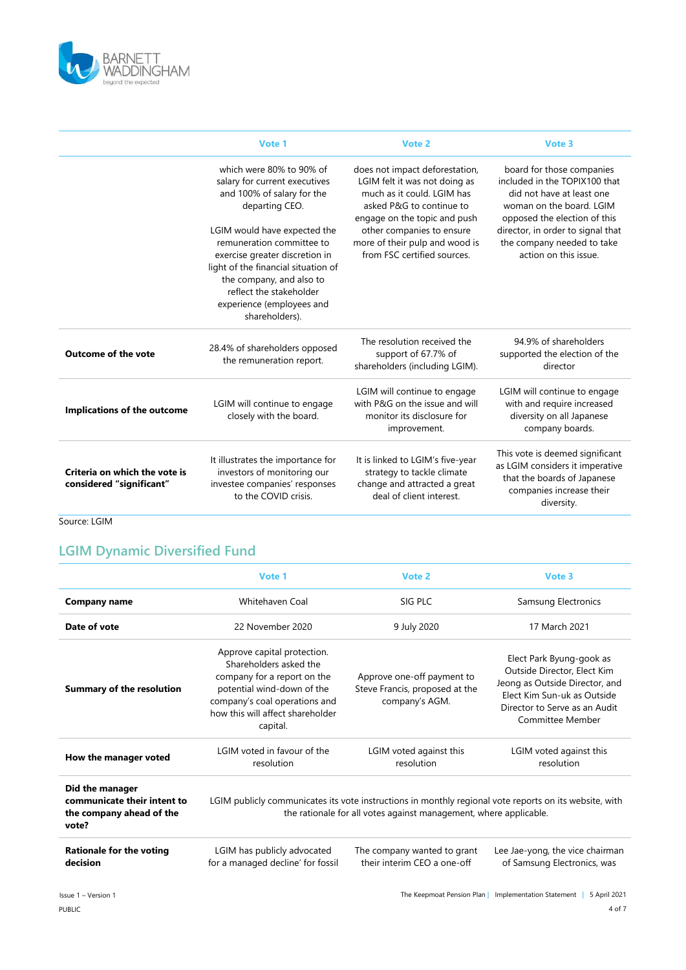

|                                                           | Vote 1                                                                                                                                                                                                                                                                      | Vote 2                                                                                                                                                                                                                                                  | Vote 3                                                                                                                                                                                                                                          |
|-----------------------------------------------------------|-----------------------------------------------------------------------------------------------------------------------------------------------------------------------------------------------------------------------------------------------------------------------------|---------------------------------------------------------------------------------------------------------------------------------------------------------------------------------------------------------------------------------------------------------|-------------------------------------------------------------------------------------------------------------------------------------------------------------------------------------------------------------------------------------------------|
|                                                           | which were 80% to 90% of<br>salary for current executives<br>and 100% of salary for the<br>departing CEO.<br>LGIM would have expected the<br>remuneration committee to<br>exercise greater discretion in<br>light of the financial situation of<br>the company, and also to | does not impact deforestation,<br>LGIM felt it was not doing as<br>much as it could. LGIM has<br>asked P&G to continue to<br>engage on the topic and push<br>other companies to ensure<br>more of their pulp and wood is<br>from FSC certified sources. | board for those companies<br>included in the TOPIX100 that<br>did not have at least one<br>woman on the board. LGIM<br>opposed the election of this<br>director, in order to signal that<br>the company needed to take<br>action on this issue. |
|                                                           | reflect the stakeholder<br>experience (employees and<br>shareholders).                                                                                                                                                                                                      |                                                                                                                                                                                                                                                         |                                                                                                                                                                                                                                                 |
| <b>Outcome of the vote</b>                                | 28.4% of shareholders opposed<br>the remuneration report.                                                                                                                                                                                                                   | The resolution received the<br>support of 67.7% of<br>shareholders (including LGIM).                                                                                                                                                                    | 94.9% of shareholders<br>supported the election of the<br>director                                                                                                                                                                              |
| Implications of the outcome                               | LGIM will continue to engage<br>closely with the board.                                                                                                                                                                                                                     | LGIM will continue to engage<br>with P&G on the issue and will<br>monitor its disclosure for<br>improvement.                                                                                                                                            | LGIM will continue to engage<br>with and require increased<br>diversity on all Japanese<br>company boards.                                                                                                                                      |
| Criteria on which the vote is<br>considered "significant" | It illustrates the importance for<br>investors of monitoring our<br>investee companies' responses<br>to the COVID crisis.                                                                                                                                                   | It is linked to LGIM's five-year<br>strategy to tackle climate<br>change and attracted a great<br>deal of client interest.                                                                                                                              | This vote is deemed significant<br>as LGIM considers it imperative<br>that the boards of Japanese<br>companies increase their<br>diversity.                                                                                                     |

Source: LGIM

## **LGIM Dynamic Diversified Fund**

|                                                                                     | Vote 1                                                                                                                                                                                              | Vote 2                                                                         | Vote 3                                                                                                                                                                        |
|-------------------------------------------------------------------------------------|-----------------------------------------------------------------------------------------------------------------------------------------------------------------------------------------------------|--------------------------------------------------------------------------------|-------------------------------------------------------------------------------------------------------------------------------------------------------------------------------|
| <b>Company name</b>                                                                 | Whitehaven Coal                                                                                                                                                                                     | SIG PLC                                                                        | Samsung Electronics                                                                                                                                                           |
| Date of vote                                                                        | 22 November 2020                                                                                                                                                                                    | 9 July 2020                                                                    | 17 March 2021                                                                                                                                                                 |
| <b>Summary of the resolution</b>                                                    | Approve capital protection.<br>Shareholders asked the<br>company for a report on the<br>potential wind-down of the<br>company's coal operations and<br>how this will affect shareholder<br>capital. | Approve one-off payment to<br>Steve Francis, proposed at the<br>company's AGM. | Elect Park Byung-gook as<br>Outside Director, Elect Kim<br>Jeong as Outside Director, and<br>Elect Kim Sun-uk as Outside<br>Director to Serve as an Audit<br>Committee Member |
| How the manager voted                                                               | LGIM voted in favour of the<br>resolution                                                                                                                                                           | LGIM voted against this<br>resolution                                          | LGIM voted against this<br>resolution                                                                                                                                         |
| Did the manager<br>communicate their intent to<br>the company ahead of the<br>vote? | LGIM publicly communicates its vote instructions in monthly regional vote reports on its website, with<br>the rationale for all votes against management, where applicable.                         |                                                                                |                                                                                                                                                                               |
| <b>Rationale for the voting</b><br>decision                                         | LGIM has publicly advocated<br>for a managed decline' for fossil                                                                                                                                    | The company wanted to grant<br>their interim CEO a one-off                     | Lee Jae-yong, the vice chairman<br>of Samsung Electronics, was                                                                                                                |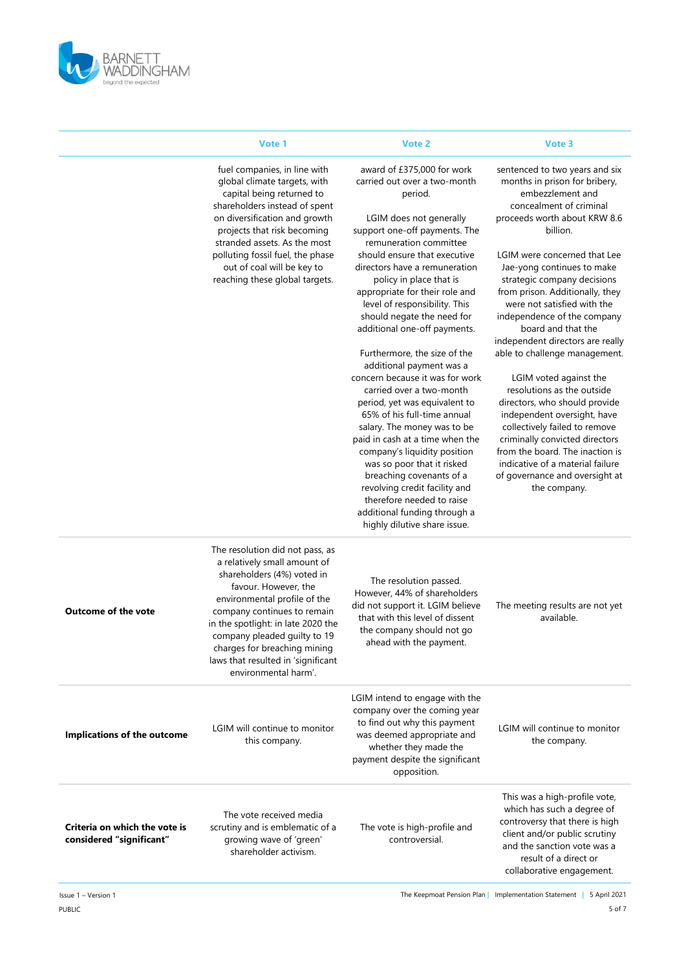

|                                                           | Vote 1                                                                                                                                                                                                                                                                                                                                                   | Vote 2                                                                                                                                                                                                                                                                                                                                                                                                                                                                                                                                                                                                                                                                                                                                   | Vote 3                                                                                                                                                                                                                                                                                                                                                                                                                                                                                                                                                                                                    |
|-----------------------------------------------------------|----------------------------------------------------------------------------------------------------------------------------------------------------------------------------------------------------------------------------------------------------------------------------------------------------------------------------------------------------------|------------------------------------------------------------------------------------------------------------------------------------------------------------------------------------------------------------------------------------------------------------------------------------------------------------------------------------------------------------------------------------------------------------------------------------------------------------------------------------------------------------------------------------------------------------------------------------------------------------------------------------------------------------------------------------------------------------------------------------------|-----------------------------------------------------------------------------------------------------------------------------------------------------------------------------------------------------------------------------------------------------------------------------------------------------------------------------------------------------------------------------------------------------------------------------------------------------------------------------------------------------------------------------------------------------------------------------------------------------------|
|                                                           | fuel companies, in line with<br>global climate targets, with<br>capital being returned to<br>shareholders instead of spent<br>on diversification and growth<br>projects that risk becoming                                                                                                                                                               | award of £375,000 for work<br>carried out over a two-month<br>period.<br>LGIM does not generally<br>support one-off payments. The                                                                                                                                                                                                                                                                                                                                                                                                                                                                                                                                                                                                        | sentenced to two years and six<br>months in prison for bribery,<br>embezzlement and<br>concealment of criminal<br>proceeds worth about KRW 8.6<br>billion.                                                                                                                                                                                                                                                                                                                                                                                                                                                |
|                                                           | stranded assets. As the most<br>polluting fossil fuel, the phase<br>out of coal will be key to<br>reaching these global targets.                                                                                                                                                                                                                         | remuneration committee<br>should ensure that executive<br>directors have a remuneration<br>policy in place that is<br>appropriate for their role and<br>level of responsibility. This<br>should negate the need for<br>additional one-off payments.<br>Furthermore, the size of the<br>additional payment was a<br>concern because it was for work<br>carried over a two-month<br>period, yet was equivalent to<br>65% of his full-time annual<br>salary. The money was to be<br>paid in cash at a time when the<br>company's liquidity position<br>was so poor that it risked<br>breaching covenants of a<br>revolving credit facility and<br>therefore needed to raise<br>additional funding through a<br>highly dilutive share issue. | LGIM were concerned that Lee<br>Jae-yong continues to make<br>strategic company decisions<br>from prison. Additionally, they<br>were not satisfied with the<br>independence of the company<br>board and that the<br>independent directors are really<br>able to challenge management.<br>LGIM voted against the<br>resolutions as the outside<br>directors, who should provide<br>independent oversight, have<br>collectively failed to remove<br>criminally convicted directors<br>from the board. The inaction is<br>indicative of a material failure<br>of governance and oversight at<br>the company. |
| <b>Outcome of the vote</b>                                | The resolution did not pass, as<br>a relatively small amount of<br>shareholders (4%) voted in<br>favour. However, the<br>environmental profile of the<br>company continues to remain<br>in the spotlight: in late 2020 the<br>company pleaded guilty to 19<br>charges for breaching mining<br>laws that resulted in 'significant<br>environmental harm'. | The resolution passed.<br>However, 44% of shareholders<br>did not support it. LGIM believe<br>that with this level of dissent<br>the company should not go<br>ahead with the payment.                                                                                                                                                                                                                                                                                                                                                                                                                                                                                                                                                    | The meeting results are not yet<br>available.                                                                                                                                                                                                                                                                                                                                                                                                                                                                                                                                                             |
| Implications of the outcome                               | LGIM will continue to monitor<br>this company.                                                                                                                                                                                                                                                                                                           | LGIM intend to engage with the<br>company over the coming year<br>to find out why this payment<br>was deemed appropriate and<br>whether they made the<br>payment despite the significant<br>opposition.                                                                                                                                                                                                                                                                                                                                                                                                                                                                                                                                  | LGIM will continue to monitor<br>the company.                                                                                                                                                                                                                                                                                                                                                                                                                                                                                                                                                             |
| Criteria on which the vote is<br>considered "significant" | The vote received media<br>scrutiny and is emblematic of a<br>growing wave of 'green'<br>shareholder activism.                                                                                                                                                                                                                                           | The vote is high-profile and<br>controversial.                                                                                                                                                                                                                                                                                                                                                                                                                                                                                                                                                                                                                                                                                           | This was a high-profile vote,<br>which has such a degree of<br>controversy that there is high<br>client and/or public scrutiny<br>and the sanction vote was a<br>result of a direct or<br>collaborative engagement.                                                                                                                                                                                                                                                                                                                                                                                       |

Issue 1 – Version 1 The Keepmoat Pension Plan | Implementation Statement | 5 April 2021 5 of 7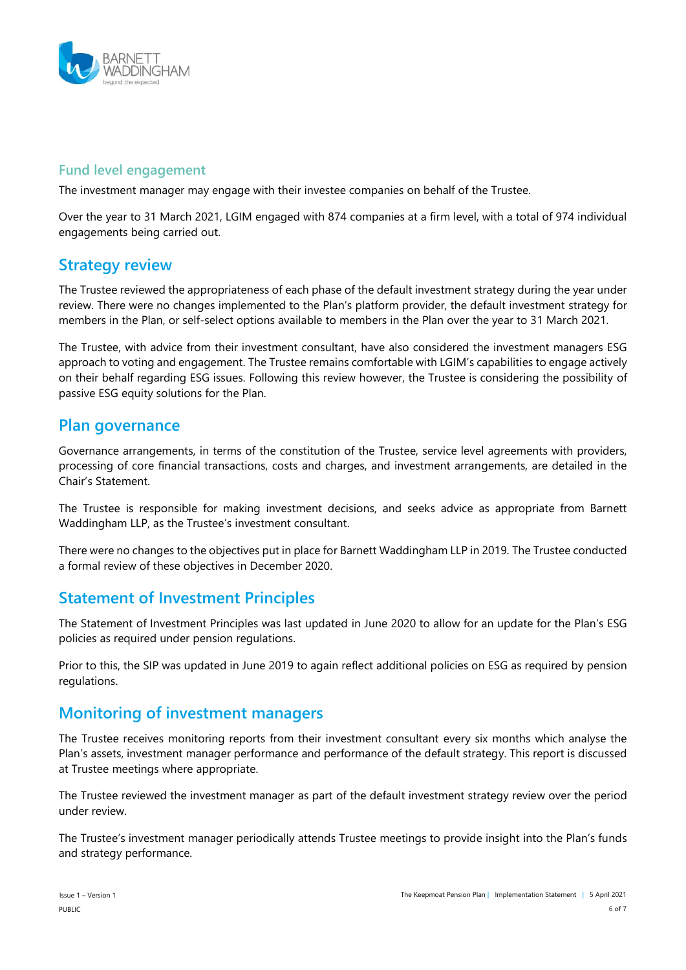

#### **Fund level engagement**

The investment manager may engage with their investee companies on behalf of the Trustee.

Over the year to 31 March 2021, LGIM engaged with 874 companies at a firm level, with a total of 974 individual engagements being carried out.

## **Strategy review**

The Trustee reviewed the appropriateness of each phase of the default investment strategy during the year under review. There were no changes implemented to the Plan's platform provider, the default investment strategy for members in the Plan, or self-select options available to members in the Plan over the year to 31 March 2021.

The Trustee, with advice from their investment consultant, have also considered the investment managers ESG approach to voting and engagement. The Trustee remains comfortable with LGIM's capabilities to engage actively on their behalf regarding ESG issues. Following this review however, the Trustee is considering the possibility of passive ESG equity solutions for the Plan.

### **Plan governance**

Governance arrangements, in terms of the constitution of the Trustee, service level agreements with providers, processing of core financial transactions, costs and charges, and investment arrangements, are detailed in the Chair's Statement.

The Trustee is responsible for making investment decisions, and seeks advice as appropriate from Barnett Waddingham LLP, as the Trustee's investment consultant.

There were no changes to the objectives put in place for Barnett Waddingham LLP in 2019. The Trustee conducted a formal review of these objectives in December 2020.

## **Statement of Investment Principles**

The Statement of Investment Principles was last updated in June 2020 to allow for an update for the Plan's ESG policies as required under pension regulations.

Prior to this, the SIP was updated in June 2019 to again reflect additional policies on ESG as required by pension regulations.

## **Monitoring of investment managers**

The Trustee receives monitoring reports from their investment consultant every six months which analyse the Plan's assets, investment manager performance and performance of the default strategy. This report is discussed at Trustee meetings where appropriate.

The Trustee reviewed the investment manager as part of the default investment strategy review over the period under review.

The Trustee's investment manager periodically attends Trustee meetings to provide insight into the Plan's funds and strategy performance.